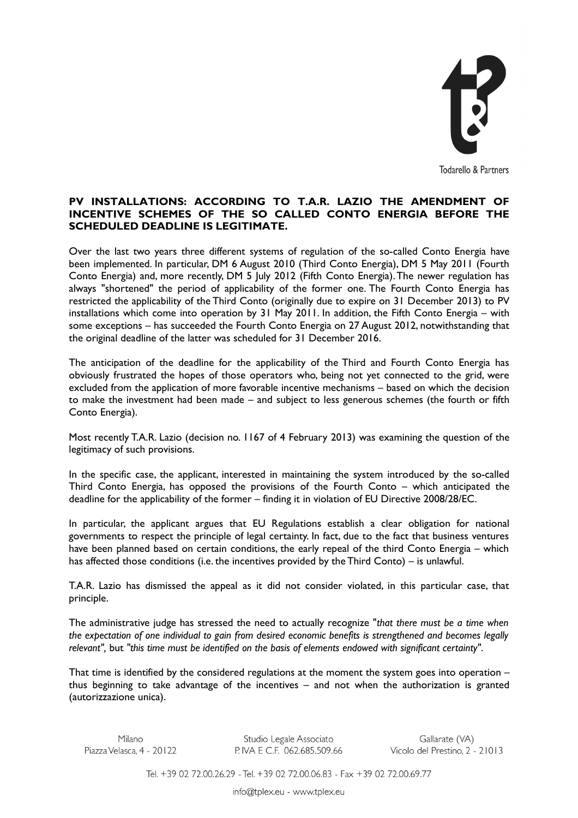

## **PV INSTALLATIONS: ACCORDING TO T.A.R. LAZIO THE AMENDMENT OF INCENTIVE SCHEMES OF THE SO CALLED CONTO ENERGIA BEFORE THE SCHEDULED DEADLINE IS LEGITIMATE.**

Over the last two years three different systems of regulation of the so-called Conto Energia have been implemented. In particular, DM 6 August 2010 (Third Conto Energia), DM 5 May 2011 (Fourth Conto Energia) and, more recently, DM 5 July 2012 (Fifth Conto Energia). The newer regulation has always "shortened" the period of applicability of the former one. The Fourth Conto Energia has restricted the applicability of the Third Conto (originally due to expire on 31 December 2013) to PV installations which come into operation by 31 May 2011. In addition, the Fifth Conto Energia – with some exceptions – has succeeded the Fourth Conto Energia on 27 August 2012, notwithstanding that the original deadline of the latter was scheduled for 31 December 2016.

The anticipation of the deadline for the applicability of the Third and Fourth Conto Energia has obviously frustrated the hopes of those operators who, being not yet connected to the grid, were excluded from the application of more favorable incentive mechanisms – based on which the decision to make the investment had been made – and subject to less generous schemes (the fourth or fifth Conto Energia).

Most recently T.A.R. Lazio (decision no. 1167 of 4 February 2013) was examining the question of the legitimacy of such provisions.

In the specific case, the applicant, interested in maintaining the system introduced by the so-called Third Conto Energia, has opposed the provisions of the Fourth Conto – which anticipated the deadline for the applicability of the former – finding it in violation of EU Directive 2008/28/EC.

In particular, the applicant argues that EU Regulations establish a clear obligation for national governments to respect the principle of legal certainty. In fact, due to the fact that business ventures have been planned based on certain conditions, the early repeal of the third Conto Energia – which has affected those conditions (i.e. the incentives provided by the Third Conto) – is unlawful.

T.A.R. Lazio has dismissed the appeal as it did not consider violated, in this particular case, that principle.

The administrative judge has stressed the need to actually recognize "*that there must be a time when the expectation of one individual to gain from desired economic benefits is strengthened and becomes legally relevant",* but *"this time must be identified on the basis of elements endowed with significant certainty"*.

That time is identified by the considered regulations at the moment the system goes into operation – thus beginning to take advantage of the incentives – and not when the authorization is granted (autorizzazione unica).

Studio Legale Associato Piazza Velasca. 4 - 20122<br>Piazza Velasca. 4 - 20122 P. IVA E C.F. 062.685.509.66 Gallarate (VA)<br>Vicolo del Prestino, 2 - 21013

Tel. +39 02 72.00.26.29 - Tel. +39 02 72.00.06.83 - Fax +39 02 72.00.69.77